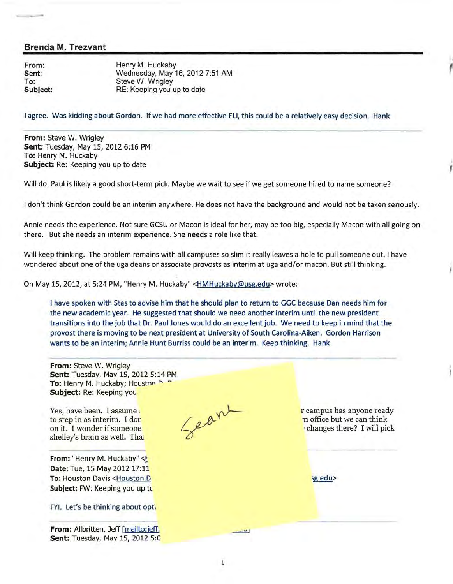From: Sent: To: Subject: Henry M. Huckaby Wednesday, May 16, 2012 7:51 AM Steve W. Wrigley RE: Keeping you up to date

I agree. Was kidding about Gordon. If we had more effective Ell, this could be a relatively easy decision. Hank

,

From: Steve W. Wrigley Sent: Tuesday, May 15, 2012 6:16 PM To: Henry M. Huckaby Subject: Re: Keeping you up to date

Will do. Paul is likely a good short-term pick. Maybe we wait to see if we get someone hired to name someone?

I don't think Gordon could be an interim anywhere. He does not have the background and would not be taken seriously.

Annie needs the experience. Not sure GCSU or Macon is ideal for her, may be too big, especially Macon with all going on there. But she needs an interim experience. She needs a role like that.

Will keep thinking. The problem remains with all campuses so slim it really leaves a hole to pull someone out. I have wondered about one of the uga deans or associate provosts as interim at uga and/or macon. But still thinking.

On May 15, 2012, at 5:24PM, "Henry M. Huckaby" <HMHuckaby@usg.edu> wrote:

I have spoken with Stas to advise him that he should plan to return to GGC because Dan needs him for the new academic year. He suggested that should we need another interim until the new president transitions into the job that Dr. Paul Jones would do an excellent job. We need to keep in mind that the provost there is moving to be next president at University of South Carolina-Aiken. Gordon Harrison wants to be an interim; Annie Hunt Burriss could be an interim. Keep thinking. Hank

From: Steve W. Wrigley Sent: Tuesday, May 15, 2012 5:14 PM To: Henry M. Huckaby; Houston P Subject: Re: Keeping you Seare Yes, have been. I assume r campus has anyone ready to step in as interim. I don n office but we can think on it. I wonder if someone ·changes there? I will pick shelley's brain as well. Thai From: "Henry M. Huckaby" <F Date: Tue, 15 May 2012 17:11 To: Houston Davis <Houston.D sg.edu> Subject: FW: Keeping you up to FYI. Let's be thinking about opti From: Allbritten, Jeff [mailto:jeff.  $\frac{1}{2}$ Sent: Tuesday, May 15, 2012 5:0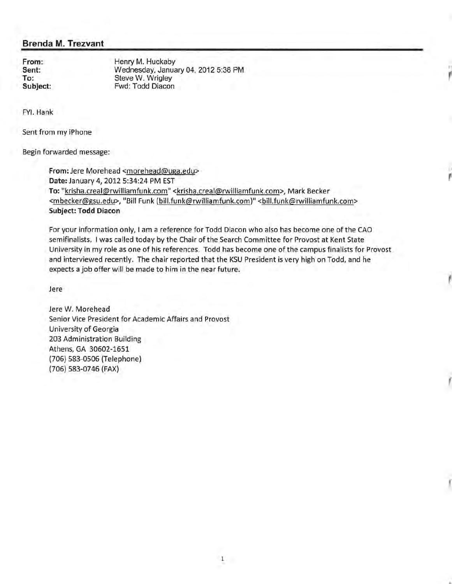**From: Sent: To:**  Henry M. Huckaby Wednesday, January 04, 2012 5:38 PM Steve W. Wrigley Fwd: Todd Diacon

FYI. Hank

Sent from my iPhone

Begin forwarded message:

**From:** Jere Morehead <morehead@uga.edu> **Date:** January 4, 2012 5:34:24 PM EST To: "krisha.creal@rwilliamfunk.com" <krisha.creal@rwilliamfunk.com>, Mark Becker <mbecker@gsu.edu>, "Bill Funk (bill.funk@rwilliamfunk.com)" <bill.funk@rwilliamfunk.com> **Subject: Todd Diacon** 

For your information only, I am a reference for Todd Diacon who also has become one of the CAO semifinalists. I was called today by the Chair of the Search Committee for Provost at Kent State University in my role as one of his references. Todd has become one of the campus finalists for Provost and interviewed recently. The chair reported that the KSU President is very high on Todd, and he expects a job offer will be made to him in the near future.

,,

,,

Jere

Jere W. Morehead Senior Vice President for Academic Affairs and Provost University of Georgia 203 Administration Building Athens, GA 30602-1651 (706) 583-0506 (Telephone) (706) 583-0746 (FAX)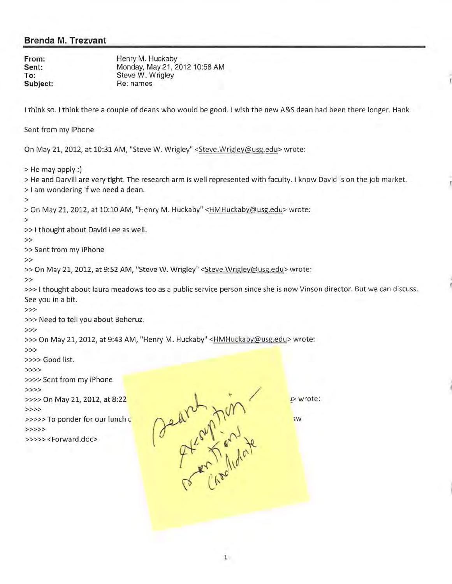**From: Sent: To: Subject:**  Henry M. Huckaby Monday, May 21, 2012 10:58 AM Steve W. Wrigley Re: names I think so. I think there a couple of deans who would be good. I wish the new A&S dean had been there longer. Hank Sent from my iPhone On May 21, 2012, at 10:31 AM, "Steve W. Wrigley" <Steve.Wrigley@usg.edu> wrote: >He may apply:) > He and Darvill are very tight. The research arm is well represented with faculty. I know David is on the job market. > I am wondering if we need a dean. > >On May 21, 2012, at 10:10 AM, "Henry M. Huckaby" <HMHuckaby@usg.edu> wrote: > >> I thought about David Lee as well. >> >>Sent from my iPhone >> >> On May 21, 2012, at 9:52 AM, "Steve W. Wrigley" < Steve. Wrigley@usg.edu> wrote: >> »> 1 thought about laura meadows too as a public service person since she is now Vinson director. But we can discuss. See you in a bit. >>> >» Need to tell you about Beheruz. >>> >>> On May 21, 2012, at 9:43 AM, "Henry M. Huckaby" <HMHuckaby@usg.edu> wrote: >>> >»> Good list. >>>> >>» Sent from my iPhone >>>> >>>> On May 21, 2012, at 8:22 >>>> >>>>>To ponder for our lunch c. >>>>> >>>>> <Forward.doc> Dearen Julian  $p >$  wrote: ;w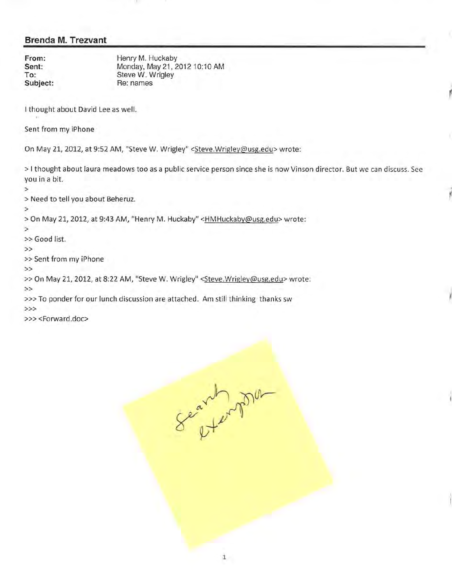**Sent: To:** 

**From: Henry M. Huckaby** Monday, May 21, 2012 10:10 AM Steve W. Wrigley **Subject:** Re: names

I thought about David Lee as well.

Sent from my iPhone

On May 21, 2012, at 9:52AM, "Steve W. Wrigley" <Steve.Wrigley@usg.edu> wrote:

> I thought about laura meadows too as a public service person since she is now Vinson director. But we can discuss. See you in a bit.

> Need to tell you about Beheruz.

>

>

> On May 21, 2012, at 9:43 AM, "Henry M. Huckaby" <HMHuckaby@usg.edu> wrote:

>

>> Good list.

>>

>>Sent from my iPhone

>>

>> On May 21, 2012, at 8:22 AM, "Steve W. Wrigley" < Steve. Wrigley@usg.edu> wrote:

>>

»>To ponder for our lunch discussion are attached. Am still thinking thanks sw

>>>

>>> <Forward.doc>

Search pop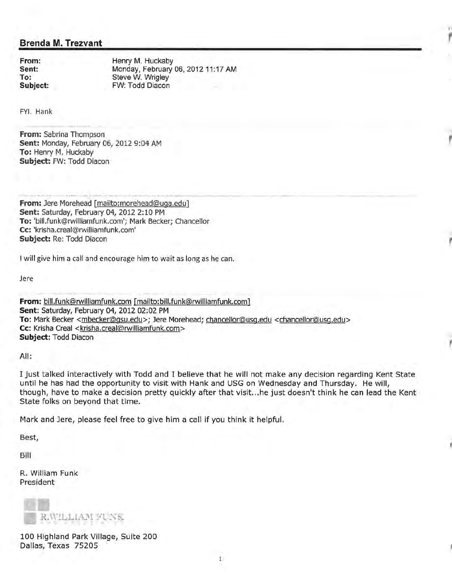**Sent: To:** 

**From: Henry M. Huckaby** Monday, February 06, 2012 11:17 AM Steve W. Wrigley **Subject:** FW: Todd Diacon

, I'

FYI. Hank

**From:** Sabrina Thompson **Sent:** Monday, February 06, 2012 9:04AM **To:** Henry M. Huckaby **Subject:** FW: Todd Diacon

**From:** Jere Morehead [mailto:morehead@uga.edu] **Sent: Saturday, February 04, 2012 2:10 PM To:** 'bill.funk@rwilliamfunk.com'; Mark Becker; Chancellor **Cc:** 'krisha.creal@rwilliamfunk.com' **Subject:** Re: Todd Diacon

I will give him a call and encourage him to wait as long as he can.

Jere

**From:** bill.funk@rwilliamfunk.com [mailto:bill.funk@rwilliamfunk.com] **Sent:** Saturday, February 04, 2012 02:02 PM **To:** Mark Becker <mbecker@gsu.edu>; Jere Morehead; chancellor@usg.edu <chancellor@usg.edu> Cc: Krisha Creal <krisha.creal@rwilliamfunk.com> **Subject:** Todd Diacon

All:

I just talked interactively with Todd and I believe that he will not make any decision regarding Kent State until he has had the opportunity to visit with Hank and USG on Wednesday and Thursday. He will, though, have to make a decision pretty quickly after that visit ... he just doesn't think he can lead the Kent State folks on beyond that time.

Mark and Jere, please feel free to give him a call if you think it helpful.

Best,

Bill

R. William Funk President



100 Highland Park Village, Suite 200 Dallas, Texas 75205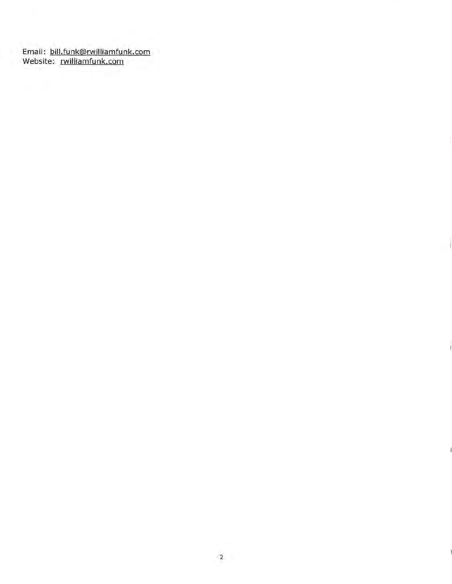Email: bill.funk@rwilliamfunk.com Website: rwilliamfunk.com

I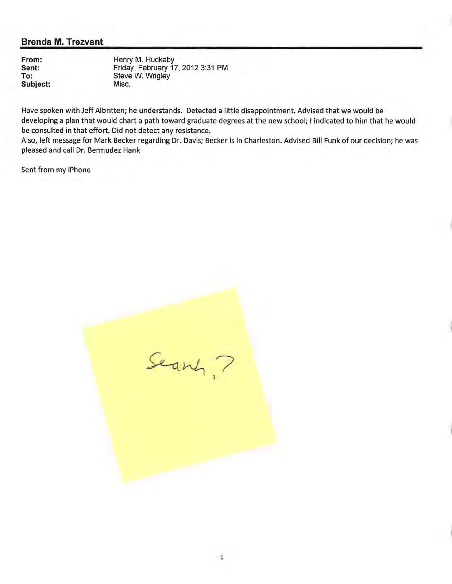**From: Sent: To: Subject:** 

Henry M. Huckaby Friday, February 17, 2012 3:31 PM Steve W. Wrigley Misc.

Have spoken with Jeff Albritten; he understands. Detected a little disappointment. Advised that we would be developing a plan that would chart a path toward graduate degrees at the new school; I indicated to him that he would be consulted in that effort. Did not detect any resistance.

Also, left message for Mark Becker regarding Dr. Davis; Becker is in Charleston. Advised Bill Funk of our decision; he was pleased and call Dr. Bermudez Hank

Sent from my iPhone

Search, ?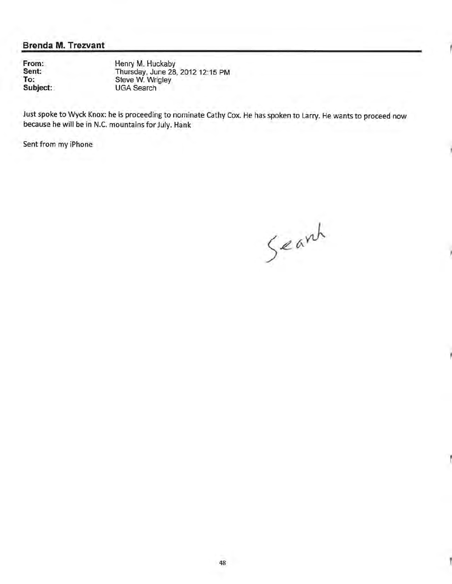**From: Sent: To: Subject:** 

Henry M. Huckaby Thursday, June 28, 2012 12:15 PM Steve W. Wrigley UGA Search

Just spoke to Wyck Knox: he is proceeding to nominate Cathy Cox. He has spoken to Larry. He wants to proceed now because he will be in N.C. mountains for July. Hank

Sent from my iPhone

Search

Ï

Ï

Ï

Ĭ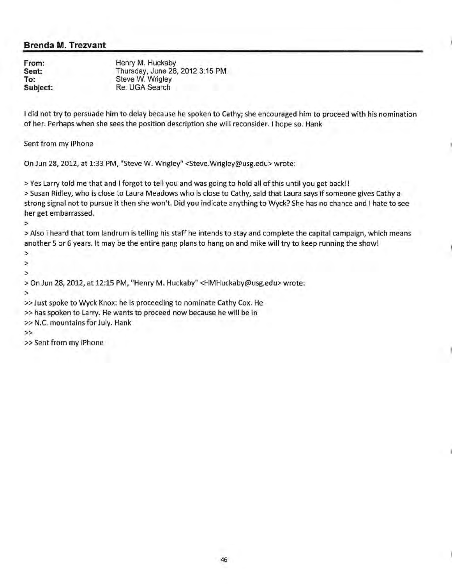**From: Sent: To: Subject:**  Henry M. Huckaby Thursday, June 28, 2012 3:15PM Steve W. Wrigley Re: UGA Search

I did not try to persuade him to delay because he spoken to Cathy; she encouraged him to proceed with his nomination of her. Perhaps when she sees the position description she will reconsider. I hope so. Hank

Sent from my iPhone

On Jun 28, 2012, at 1:33 PM, "Steve W. Wrigley" <Steve.Wrigley@usg.edu> wrote:

>Yes Larry told me that and I forgot to tell you and was going to hold all of this until you get back!! >Susan Ridley, who is close to Laura Meadows who is close to Cathy, said that Laura says if someone gives Cathy a strong signal not to pursue it then she won't. Did you indicate anything to Wyck? She has no chance and I hate to see her get embarrassed.

>

>Also i heard that tom landrum is telling his staff he intends to stay and complete the capital campaign, which means another 5 or 6 years. It may be the entire gang plans to hang on and mike will try to keep running the show!

>

> >

>On Jun 28, 2012, at 12:15 PM, "Henry M. Huckaby" <HMHuckaby@usg.edu> wrote:

>

»Just spoke to Wyck Knox: he is proceeding to nominate Cathy Cox. He

>>has spoken to Larry. He wants to proceed now because he will be in

>> N.C. mountains for July. Hank

>>

» Sent from my iPhone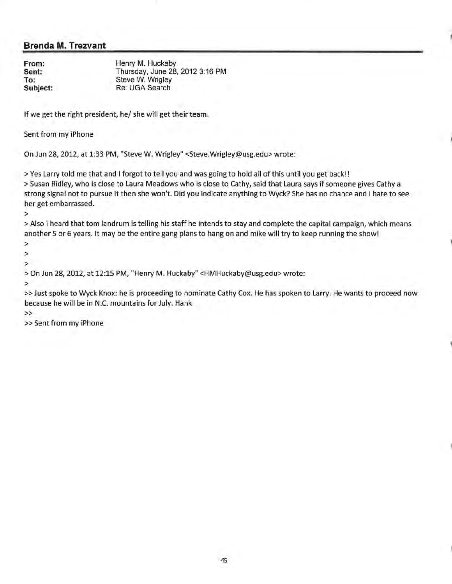**From: Sent: To: Subject:**  Henry M. Huckaby Thursday, June 28, 2012 3:16PM Steve W. Wrigley Re: UGA Search

If we get the right president, he/ she will get their team.

Sent from my iPhone

On Jun 28, 2012, at 1:33PM, "Steve W. Wrigley" <Steve.Wrigley@usg.edu> wrote:

>Yes Larry told me that and I forgot to tell you and was going to hold all of this until you get back!! >Susan Ridley, who is close to Laura Meadows who is close to Cathy, said that Laura says if someone gives Cathy a strong signal not to pursue it then she won't. Did you indicate anything to Wyck? She has no chance and I hate to see her get embarrassed.

>

>Also i heard that tom landrum is telling his staff he intends to stay and complete the capital campaign, which means another 5 or 6 years. It may be the entire gang plans to hang on and mike will try to keep running the show!

>

> >

>On Jun 28, 2012, at 12:15 PM, "Henry M. Huckaby" <HMHuckaby@usg.edu> wrote:

>

>>Just spoke to Wyck Knox: he is proceeding to nominate Cathy Cox. He has spoken to Larry. He wants to proceed now because he will be in N.C. mountains for July. Hank

>>

» Sent from my iPhone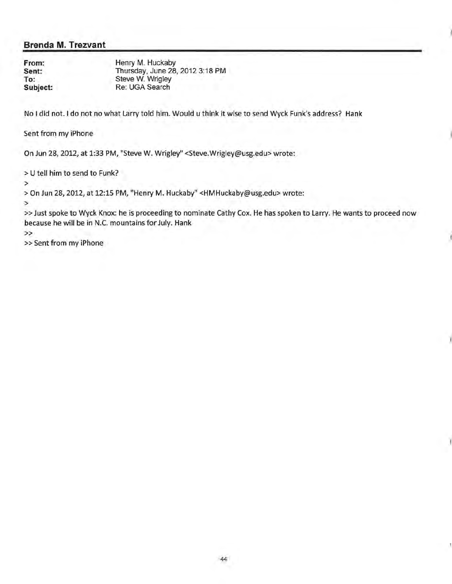**From: Sent: To: Subject:**  Henry M. Huckaby Thursday, June 28, 2012 3:18PM Steve W. Wrigley Re: UGA Search

No I did not. I do not no what Larry told him. Would u think it wise to send Wyck Funk's address? Hank

Sent from my iPhone

On Jun 28, 2012, at 1:33 PM, "Steve W. Wrigley" <Steve.Wrigley@usg.edu> wrote:

> U tell him to send to Funk?

>

>On Jun 28, 2012, at 12:15 PM, "Henry M. Huckaby" <HMHuckaby@usg.edu> wrote:

>

»Just spoke to Wyck Knox: he is proceeding to nominate Cathy Cox. He has spoken to Larry. He wants to proceed now because he will be in N.C. mountains for July. Hank

>>

>> Sent from my iPhone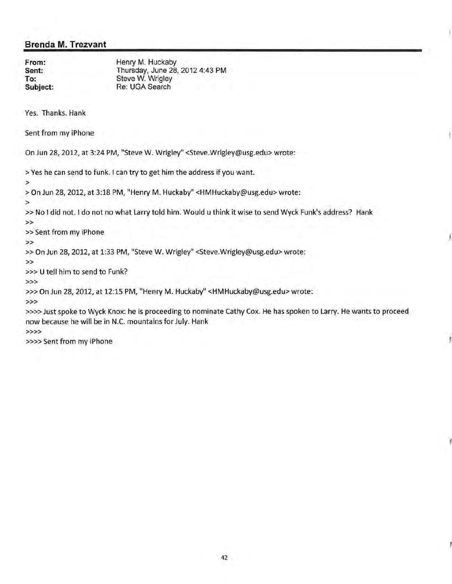**From: Sent: To: Subject:**  Henry M. Huckaby Thursday, June 28, 2012 4:43PM Steve W. Wrigley Re: UGA Search

Yes. Thanks. Hank

Sent from my iPhone

On Jun 28, 2012, at 3:24PM, "Steve W. Wrigley" <Steve.Wrigley@usg.edu> wrote:

>Yes he can send to funk. I can try to get him the address if you want.

>

>On Jun 28, 2012, at 3:18PM, "Henry M. Huckaby" <HMHuckaby@usg.edu> wrote:

>

» No I did not. I do not no what Larry told him. Would u think it wise to send Wyck Funk's address? Hank >>

» Sent from my iPhone

>>

>> On Jun 28, 2012, at 1:33 PM, "Steve W. Wrigley" <Steve.Wrigley@usg.edu> wrote:

>>

>>> U tell him to send to Funk?

>>>

»>On Jun 28, 2012, at 12:15 PM, "Henry M. Huckaby" <HMHuckaby@usg.edu> wrote:

>>>

>»>Just spoke to Wyck Knox: he is proceeding to nominate Cathy Cox. He has spoken to Larry. He wants to proceed now because he will be in N.C. mountains for July. Hank

>>>>

»» Sent from my iPhone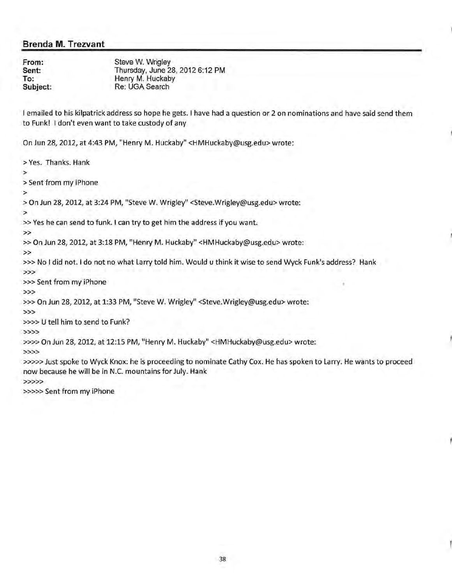**From: Sent: To: Subject:** 

Steve W. Wrigley Thursday, June 28, 2012 6:12PM Henry M. Huckaby Re: UGA Search

I emailed to his kilpatrick address so hope he gets. I have had a question or 2 on nominations and have said send them to Funk! I don't even want to take custody of any

On Jun 28, 2012, at 4:43PM, "Henry M. Huckaby" <HMHuckaby@usg.edu> wrote:

>Yes. Thanks. Hank

>

>Sent from my iPhone

>

>On Jun 28, 2012, at 3:24PM, "Steve W. Wrigley" <Steve.Wrigley@usg.edu> wrote:

>

»Yes he can send to funk. I can try to get him the address if you want.

>>

>> On Jun 28, 2012, at 3:18 PM, "Henry M. Huckaby" <HMHuckaby@usg.edu> wrote:

>>

>» No I did not. I do not no what Larry told him. Would u think it wise to send Wyck Funk's address? Hank

>>>

>>>Sent from my iPhone

>>>

»>On Jun 28, 2012, at 1:33 PM, "Steve W. Wrigley" <Steve.Wrigley@usg.edu> wrote:

>>>

»» U tell him to send to Funk?

>>>>

»»On Jun 28, 2012, at 12:15 PM, "Henry M. Huckaby" <HMHuckaby@usg.edu> wrote:

>>>>

»»>Just spoke to Wyck Knox: he is proceeding to nominate Cathy Cox. He has spoken to Larry. He wants to proceed now because he will be in N.C. mountains for July. Hank

>>>>>

>>>>> Sent from my iPhone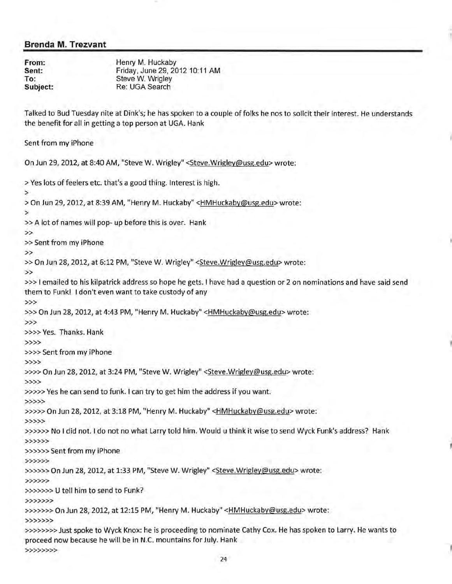**From: Sent: To: Subject:**  Henry M. Huckaby Friday, June 29, 2012 10:11 AM Steve W. Wrigley Re: UGA Search

Talked to Bud Tuesday nite at Dink's; he has spoken to a couple of folks he nos to solicit their interest. He understands the benefit for all in getting a top person at UGA. Hank

Sent from my iPhone

On Jun 29, 2012, at 8:40AM, "Steve W. Wrigley" <Steve.Wrigley@usg.edu> wrote:

>Yes lots of feelers etc. that's a good thing. Interest is high. > >On Jun 29, 2012, at 8:39AM, "Henry M. Huckaby" <HMHuckaby@usg.edu> wrote: > »A lot of names will pop- up before this is over. Hank >> » Sent from my iPhone >> >> On Jun 28, 2012, at 6:12 PM, "Steve W. Wrigley" <Steve.Wrigley@usg.edu> wrote: >> »>I emailed to his kilpatrick address so hope he gets. I have had a question or 2 on nominations and have said send them to Funk! I don't even want to take custody of any >>> »>On Jun 28, 2012, at 4:43 PM, "Henry M. Huckaby" <HMHuckaby@usg.edu> wrote: >>> »»Yes. Thanks. Hank >>>> >>>>Sent from my iPhone >>>> »»On Jun 28, 2012, at 3:24PM, "Steve W. Wrigley" <Steve.Wrigley@usg.edu> wrote: >>>> >»»Yes he can send to funk. I can try to get him the address if you want. >>>>> »>»On Jun 28, 2012, at 3:18PM, "Henry M. Huckaby" <HMHuckaby@usg.edu> wrote: >>>>> »»» No I did not. I do not no what Larry told him. Would u think it wise to send Wyck Funk's address? Hank >>>>>> »»>>Sent from my iPhone >>>>>> »»»On Jun 28, 2012, at 1:33 PM, "Steve W. Wrigley" <Steve.Wrigley@usg.edu> wrote: >>>>>> »»»> U tell him to send to Funk? >>>>>>> »»»>On Jun 28, 2012, at 12:15 PM, "Henry M. Huckaby" <HMHuckaby@usg.edu> wrote: >>>>>>> »»»»Just spoke to Wyck Knox: he is proceeding to nominate Cathy Cox. He has spoken to Larry. He wants to proceed now because he will be in N.C. mountains for July. Hank >>>>>>>>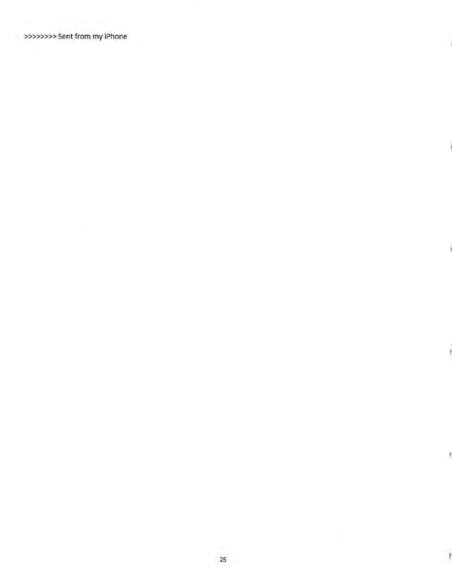>»»>>>Sent from my iPhone

Ì

J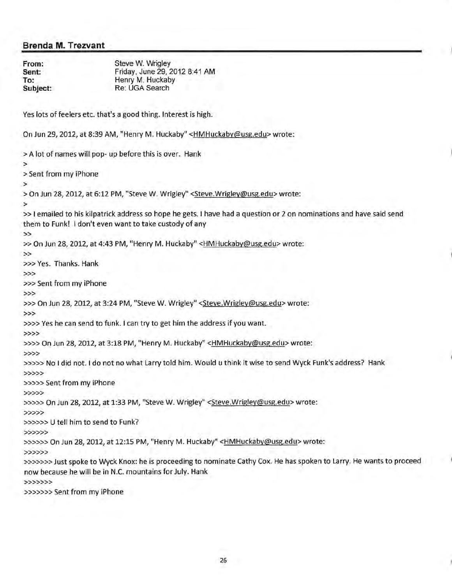**From: Sent: To: Subject:**  Steve W. Wrigley Friday, June 29, 2012 8:41AM Henry M. Huckaby Re: UGA Search

Yes lots of feelers etc. that's a good thing. Interest is high.

On Jun 29, 2012, at 8:39AM, "Henry M. Huckaby" <HMHuckaby@usg.edu> wrote:

>A lot of names will pop- up before this is over. Hank > >Sent from my iPhone > >On Jun 28, 2012, at 6:12PM, "Steve W. Wrigley" <Steve.Wrigley@usg.edu> wrote: > »I emailed to his kilpatrick address so hope he gets. I have had a question or 2 on nominations and have said send them to Funk! I don't even want to take custody of any >> >> On Jun 28, 2012, at 4:43 PM, "Henry M. Huckaby" <HMHuckaby@usg.edu> wrote: >> >»Yes. Thanks. Hank >>> »>Sent from my iPhone >>> >>> On Jun 28, 2012, at 3:24 PM, "Steve W. Wrigley" < Steve. Wrigley@usg.edu> wrote: >>> »»Yes he can send to funk. I can try to get him the address if you want. >>>> »»On Jun 28, 2012, at 3:18PM, "Henry M. Huckaby" <HMHuckaby@usg.edu> wrote: >>>> »»>No I did not. I do not no what Larry told him. Would u think it wise to send Wyck Funk's address? Hank >>>>> >»» Sent from my iPhone >>>>> >>>>> On Jun 28, 2012, at 1:33 PM, "Steve W. Wrigley" < Steve. Wrigley@usg.edu> wrote: >>>>> »»» U tell him to send to Funk? >>>>>> »»»On Jun 28, 2012, at 12:15 PM, "Henry M. Huckaby" <HMHuckaby@usg.edu> wrote: >>>>>> »»»>Just spoke to Wyck Knox: he is proceeding to nominate Cathy Cox. He has spoken to Larry. He wants to proceed now because he will be in N.C. mountains for July. Hank >>>>>>>

>>>»>>Sent from my iPhone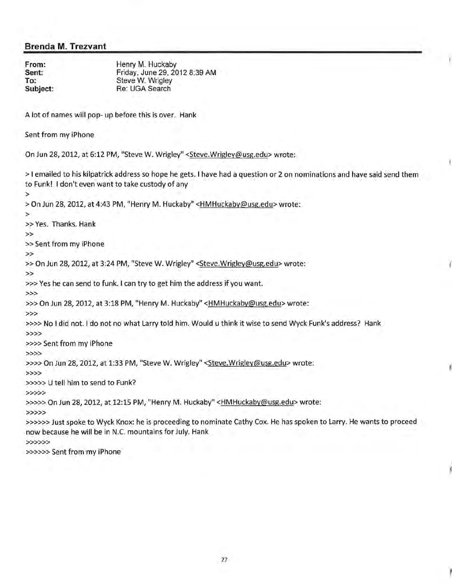**From: Sent: To: Subject:**  Henry M. Huckaby Friday, June 29, 2012 8:39AM Steve W. Wrigley Re: UGA Search

A lot of names will pop- up before this is over. Hank

Sent from my iPhone

On Jun 28,2012, at 6:12PM, "Steve W. Wrigley" <Steve.Wrigley@usg.edu> wrote:

>I emailed to his kilpatrick address so hope he gets. I have had a question or 2 on nominations and have said send them to Funk! I don't even want to take custody of any > >On Jun 28, 2012, at 4:43PM, "Henry M. Huckaby" <HMHuckaby@usg.edu> wrote: > >> Yes. Thanks. Hank >> >> Sent from my iPhone >> >> On Jun 28, 2012, at 3:24 PM, "Steve W. Wrigley" <Steve.Wrigley@usg.edu> wrote: >> »>Yes he can send to funk. I can try to get him the address if you want. >>> »>On Jun 28, 2012, at 3:18PM, "Henry M. Huckaby" <HMHuckaby@usg.edu> wrote: >>> »» No I did not. I do not no what Larry told him. Would u think it wise to send Wyck Funk's address? Hank >>>> »»Sent from my iPhone >>>> >»>On Jun 28, 2012, at 1:33 PM, "Steve W. Wrigley" <Steve.Wrigley@usg.edu> wrote: >>>> »»> U tell him to send to Funk? >>>>> »»>On Jun 28, 2012, at 12:15 PM, "Henry M. Huckaby" <HMHuckaby@usg.edu> wrote: >>>>> »»»Just spoke to Wyck Knox: he is proceeding to nominate Cathy Cox. He has spoken to Larry. He wants to proceed now because he will be in N.C. mountains for July. Hank >>>>>> »>»>Sent from my iPhone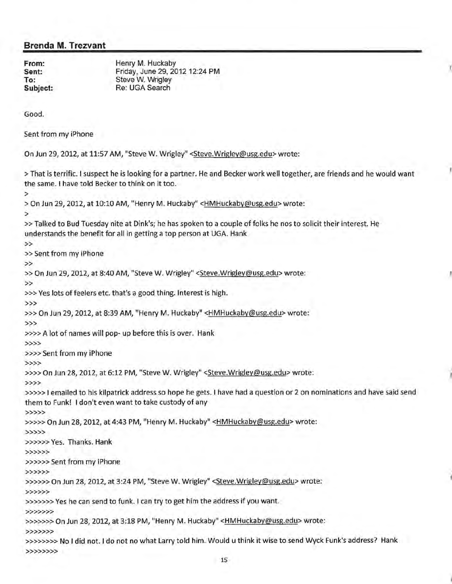**From: Sent: To: Subject:**  Henry M. Huckaby Friday, June 29, 2012 12:24 PM Steve W. Wrigley Re: UGA Search

Good.

Sent from my iPhone

On Jun 29, 2012, at 11:57 AM, "Steve W. Wrigley" <Steve.Wrigley@usg.edu> wrote:

>That is terrific. I suspect he is looking for a partner. He and Becker work well together, are friends and he would want the same. I have told Becker to think on it too.

>

>On Jun 29, 2012, at 10:10 AM, "Henry M. Huckaby" <HMHuckaby@usg.edu> wrote:

>

»Talked to Bud Tuesday nite at Dink's; he has spoken to a couple of folks he nos to solicit their interest. He understands the benefit for all in getting a top person at UGA. Hank

>> Sent from my iPhone

>>

>>

>> On Jun 29, 2012, at 8:40 AM, "Steve W. Wrigley" < Steve. Wrigley@usg.edu> wrote:

>>

>»Yes lots of feelers etc. that's a good thing. Interest is high.

>>>

>>> On Jun 29, 2012, at 8:39 AM, "Henry M. Huckaby" <HMHuckaby@usg.edu> wrote:

>>>

»»A lot of names will pop- up before this is over. Hank

>>>>

»»Sent from my iPhone

>>>>

»»On Jun 28, 2012, at 6:12 PM, "Steve W. Wrigley" <Steve.Wrigley@usg.edu> wrote:

>>>>

»»> I emailed to his kilpatrick address so hope he gets. I have had a question or 2 on nominations and have said send them to Funk! I don't even want to take custody of any

>>>>>

»»>On Jun 28, 2012, at 4:43 PM, "Henry M. Huckaby" <HMHuckaby@usg.edu> wrote:

>>>>>

>>>»>Yes. Thanks. Hank

>>>>>>

>>>>>>Sent from my iPhone

>>>>>>

>>>>>> On Jun 28, 2012, at 3:24 PM, "Steve W. Wrigley" < Steve. Wrigley@usg.edu> wrote:

>>>>>>

»»»>Yes he can send to funk. I can try to get him the address if you want.

>>>>>>>

>>>>>>> On Jun 28, 2012, at 3:18 PM, "Henry M. Huckaby" < HMHuckaby@usg.edu> wrote:

>>>>>>>

»»»» No I did not. I do not no what Larry told him. Would u think it wise to send Wyck Funk's address? Hank >>>>>>>>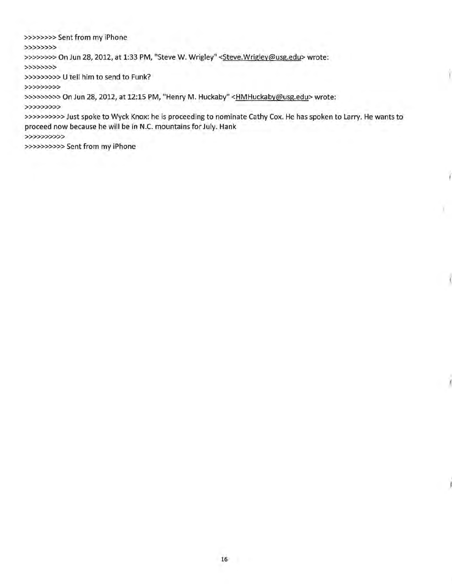>>>>>»>Sent from my iPhone >>>>>>>> >>>>>>>> On Jun 28, 2012, at 1:33 PM, "Steve W. Wrigley" < Steve. Wrigley@usg.edu> wrote: >>>>>>>> »>»»» U tell him to send to Funk? >>>>>>>>> >>>>>>>>>> On Jun 28, 2012, at 12:15 PM, "Henry M. Huckaby" <HMHuckaby@usg.edu> wrote: >>>>>>>>> »»»»>>Just spoke to Wyck Knox: he is proceeding to nominate Cathy Cox. He has spoken to Larry. He wants to proceed now because he will be in N.C. mountains for July. Hank >>>>>>>>>> >>>>>>»>>Sent from my iPhone

Y.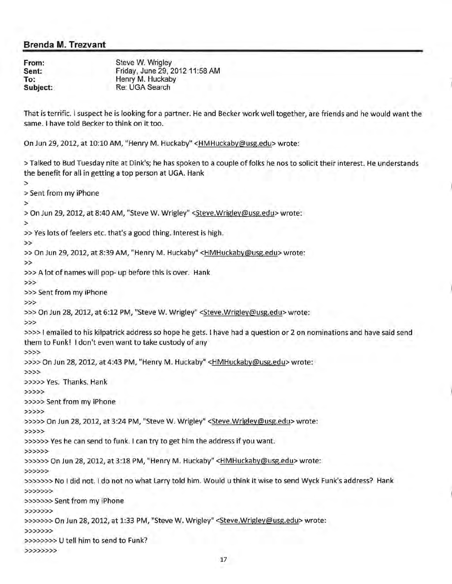**From: Sent: To: Subject:** 

>

Steve W. Wrigley Friday, June 29, 2012 11:58 AM Henry M. Huckaby Re: UGA Search

That is terrific. I suspect he is looking for a partner. He and Becker work well together, are friends and he would want the same. I have told Becker to think on it too.

On Jun *29,* 2012, at 10:10 AM, "Henry M. Huckaby" <HMHuckaby@usg.edu> wrote:

>Talked to Bud Tuesday nite at Dink's; he has spoken to a couple of folks he nos to solicit their interest. He understands the benefit for all in getting a top person at UGA. Hank

>Sent from my iPhone > >On Jun *29,* 2012, at 8:40AM, "Steve W. Wrigley" <Steve.Wrigley@usg.edu> wrote: > »Yes lots of feelers etc. that's a good thing. Interest is high. >> »On Jun *29,* 2012, at 8:39AM, "Henry M. Huckaby" <HMHuckaby@usg.edu> wrote: >> »>A lot of names will pop- up before this is over. Hank >>> >>>Sent from my iPhone >>> >>> On Jun 28, 2012, at 6:12 PM, "Steve W. Wrigley" <Steve.Wrigley@usg.edu> wrote: >>> »»I emailed to his kilpatrick address so hope he gets. I have had a question or 2 on nominations and have said send them to Funk! I don't even want to take custody of any >>>> »»On Jun *28,* 2012, at 4:43 PM, "Henry M. Huckaby" <HMHuckaby@usg.edu> wrote: >>>> >>>>>Yes. Thanks. Hank >>>>> »>>> Sent from my iPhone >>>>> »»>On Jun *28,* 2012, at 3:24PM, "Steve W. Wrigley" <Steve.Wrigley@usg.edu> wrote: >>>>> >>>»>Yes he can send to funk. I can try to get him the address if you want. >>>>>> »»»On Jun *28,* 2012, at 3:18 PM, "Henry M. Huckaby" <HMHuckaby@usg.edu> wrote: >>>>>> »>»»No I did not. I do not no what Larry told him. Would u think it wise to send Wyck Funk's address? Hank >>>>>>> >>>>>>>Sent from my iPhone >>>>>>> »»»>On Jun *28,* 2012, at 1:33 PM, "Steve W. Wrigley" <Steve.Wrigley@usg.edu> wrote: >>>>>>> »»>»> U tell him to send to Funk? >>>>>>>>